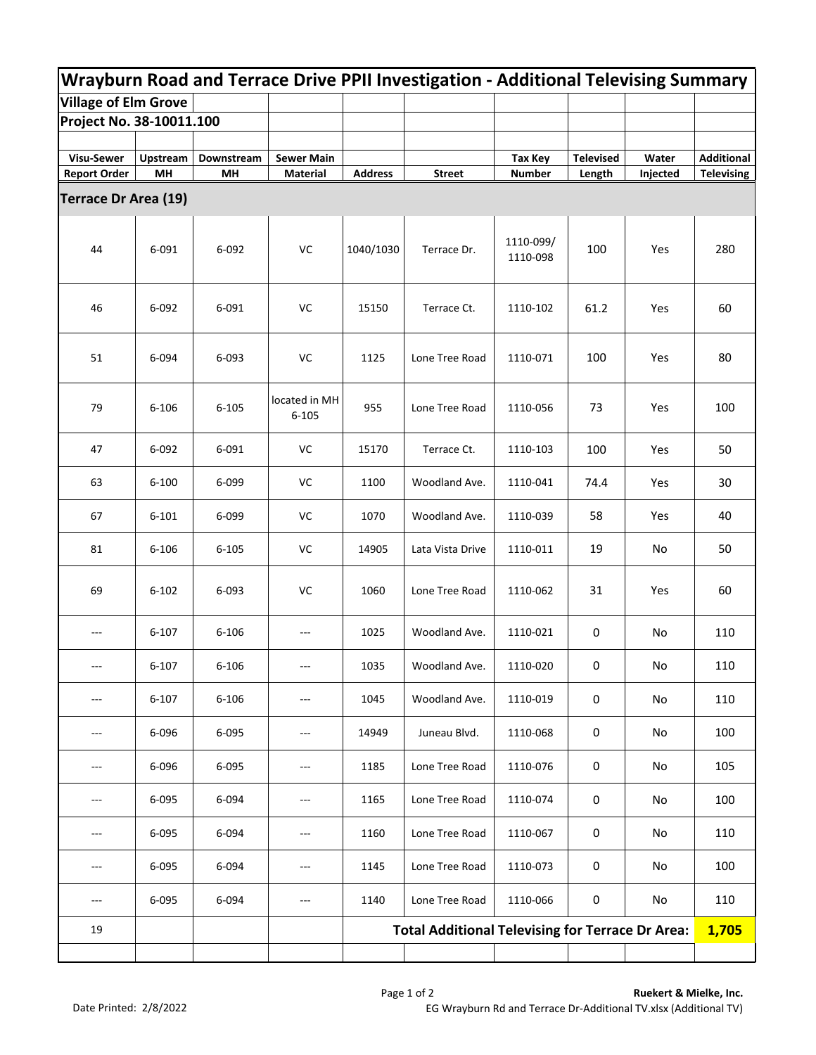| Wrayburn Road and Terrace Drive PPII Investigation - Additional Televising Summary |           |            |                            |                |                                                         |                       |                  |          |                   |  |  |
|------------------------------------------------------------------------------------|-----------|------------|----------------------------|----------------|---------------------------------------------------------|-----------------------|------------------|----------|-------------------|--|--|
| <b>Village of Elm Grove</b>                                                        |           |            |                            |                |                                                         |                       |                  |          |                   |  |  |
| Project No. 38-10011.100                                                           |           |            |                            |                |                                                         |                       |                  |          |                   |  |  |
| <b>Visu-Sewer</b>                                                                  | Upstream  | Downstream | <b>Sewer Main</b>          |                |                                                         | Tax Key               | <b>Televised</b> | Water    | <b>Additional</b> |  |  |
| <b>Report Order</b>                                                                | MH        | MH         | Material                   | <b>Address</b> | <b>Street</b>                                           | <b>Number</b>         | Length           | Injected | <b>Televising</b> |  |  |
| <b>Terrace Dr Area (19)</b>                                                        |           |            |                            |                |                                                         |                       |                  |          |                   |  |  |
| 44                                                                                 | 6-091     | 6-092      | VC                         | 1040/1030      | Terrace Dr.                                             | 1110-099/<br>1110-098 | 100              | Yes      | 280               |  |  |
| 46                                                                                 | 6-092     | 6-091      | VC                         | 15150          | Terrace Ct.                                             | 1110-102              | 61.2             | Yes      | 60                |  |  |
| 51                                                                                 | 6-094     | 6-093      | VC                         | 1125           | Lone Tree Road                                          | 1110-071              | 100              | Yes      | 80                |  |  |
| 79                                                                                 | $6 - 106$ | $6 - 105$  | located in MH<br>$6 - 105$ | 955            | Lone Tree Road                                          | 1110-056              | 73               | Yes      | 100               |  |  |
| 47                                                                                 | 6-092     | 6-091      | VC                         | 15170          | Terrace Ct.                                             | 1110-103              | 100              | Yes      | 50                |  |  |
| 63                                                                                 | $6 - 100$ | 6-099      | VC                         | 1100           | Woodland Ave.                                           | 1110-041              | 74.4             | Yes      | 30                |  |  |
| 67                                                                                 | $6 - 101$ | 6-099      | VC                         | 1070           | Woodland Ave.                                           | 1110-039              | 58               | Yes      | 40                |  |  |
| 81                                                                                 | $6 - 106$ | $6 - 105$  | VC                         | 14905          | Lata Vista Drive                                        | 1110-011              | 19               | No       | 50                |  |  |
| 69                                                                                 | $6 - 102$ | 6-093      | VC                         | 1060           | Lone Tree Road                                          | 1110-062              | 31               | Yes      | 60                |  |  |
| $\qquad \qquad \cdots$                                                             | $6 - 107$ | $6 - 106$  | ---                        | 1025           | Woodland Ave.                                           | 1110-021              | 0                | No       | 110               |  |  |
|                                                                                    | $6 - 107$ | $6 - 106$  |                            | 1035           | Woodland Ave.                                           | 1110-020              | 0                | No       | 110               |  |  |
| ---                                                                                | $6 - 107$ | $6 - 106$  | $---$                      | 1045           | Woodland Ave.                                           | 1110-019              | 0                | No       | 110               |  |  |
| ---                                                                                | 6-096     | 6-095      | ---                        | 14949          | Juneau Blvd.                                            | 1110-068              | 0                | No       | 100               |  |  |
| ---                                                                                | 6-096     | 6-095      | ---                        | 1185           | Lone Tree Road                                          | 1110-076              | 0                | No       | 105               |  |  |
| ---                                                                                | 6-095     | 6-094      | ---                        | 1165           | Lone Tree Road                                          | 1110-074              | 0                | No       | 100               |  |  |
| ---                                                                                | 6-095     | 6-094      | ---                        | 1160           | Lone Tree Road                                          | 1110-067              | 0                | No       | 110               |  |  |
| ---                                                                                | 6-095     | 6-094      | ---                        | 1145           | Lone Tree Road                                          | 1110-073              | 0                | No       | 100               |  |  |
| ---                                                                                | 6-095     | 6-094      | ---                        | 1140           | Lone Tree Road                                          | 1110-066              | $\pmb{0}$        | No       | 110               |  |  |
| 19                                                                                 |           |            |                            |                | <b>Total Additional Televising for Terrace Dr Area:</b> |                       |                  |          | 1,705             |  |  |